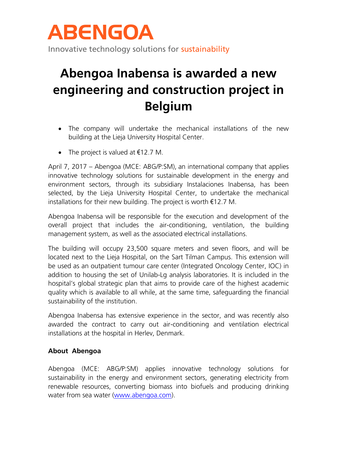

Innovative technology solutions for sustainability

## **Abengoa Inabensa is awarded a new engineering and construction project in Belgium**

- The company will undertake the mechanical installations of the new building at the Lieja University Hospital Center.
- The project is valued at  $€12.7 M$ .

April 7, 2017 – Abengoa (MCE: ABG/P:SM), an international company that applies innovative technology solutions for sustainable development in the energy and environment sectors, through its subsidiary Instalaciones Inabensa, has been selected, by the Lieja University Hospital Center, to undertake the mechanical installations for their new building. The project is worth €12.7 M.

Abengoa Inabensa will be responsible for the execution and development of the overall project that includes the air-conditioning, ventilation, the building management system, as well as the associated electrical installations.

The building will occupy 23,500 square meters and seven floors, and will be located next to the Lieja Hospital, on the Sart Tilman Campus. This extension will be used as an outpatient tumour care center (Integrated Oncology Center, IOC) in addition to housing the set of Unilab-Lg analysis laboratories. It is included in the hospital's global strategic plan that aims to provide care of the highest academic quality which is available to all while, at the same time, safeguarding the financial sustainability of the institution.

Abengoa Inabensa has extensive experience in the sector, and was recently also awarded the contract to carry out air-conditioning and ventilation electrical installations at the hospital in Herlev, Denmark.

## **About Abengoa**

Abengoa (MCE: ABG/P:SM) applies innovative technology solutions for sustainability in the energy and environment sectors, generating electricity from renewable resources, converting biomass into biofuels and producing drinking water from sea water [\(www.abengoa.com\)](http://www.abengoa.com/).